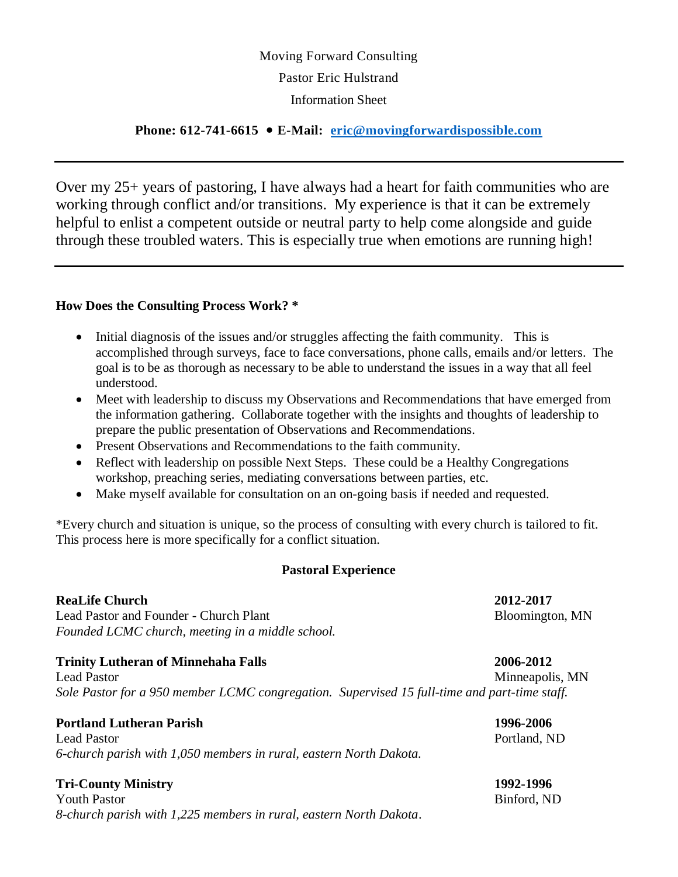# Moving Forward Consulting Pastor Eric Hulstrand Information Sheet

### **Phone: 612-741-6615 E-Mail: [eric@movingforwardispossible.com](mailto:eric@movingforwardispossible.com)**

Over my 25+ years of pastoring, I have always had a heart for faith communities who are working through conflict and/or transitions. My experience is that it can be extremely helpful to enlist a competent outside or neutral party to help come alongside and guide through these troubled waters. This is especially true when emotions are running high!

### **How Does the Consulting Process Work? \***

- Initial diagnosis of the issues and/or struggles affecting the faith community. This is accomplished through surveys, face to face conversations, phone calls, emails and/or letters. The goal is to be as thorough as necessary to be able to understand the issues in a way that all feel understood.
- Meet with leadership to discuss my Observations and Recommendations that have emerged from the information gathering. Collaborate together with the insights and thoughts of leadership to prepare the public presentation of Observations and Recommendations.
- Present Observations and Recommendations to the faith community.
- Reflect with leadership on possible Next Steps. These could be a Healthy Congregations workshop, preaching series, mediating conversations between parties, etc.
- Make myself available for consultation on an on-going basis if needed and requested.

\*Every church and situation is unique, so the process of consulting with every church is tailored to fit. This process here is more specifically for a conflict situation.

### **Pastoral Experience**

### **ReaLife Church 2012-2017**

Lead Pastor and Founder - Church Plant Bloomington, MN *Founded LCMC church, meeting in a middle school.*

### **Trinity Lutheran of Minnehaha Falls 2006-2012**

Lead Pastor Minneapolis, MN *Sole Pastor for a 950 member LCMC congregation. Supervised 15 full-time and part-time staff.*

### **Portland Lutheran Parish 1996-2006**

Lead Pastor **Portland**, ND *6-church parish with 1,050 members in rural, eastern North Dakota.*

### **Tri-County Ministry 1992-1996**

Youth Pastor **Binford, ND** *8-church parish with 1,225 members in rural, eastern North Dakota*.